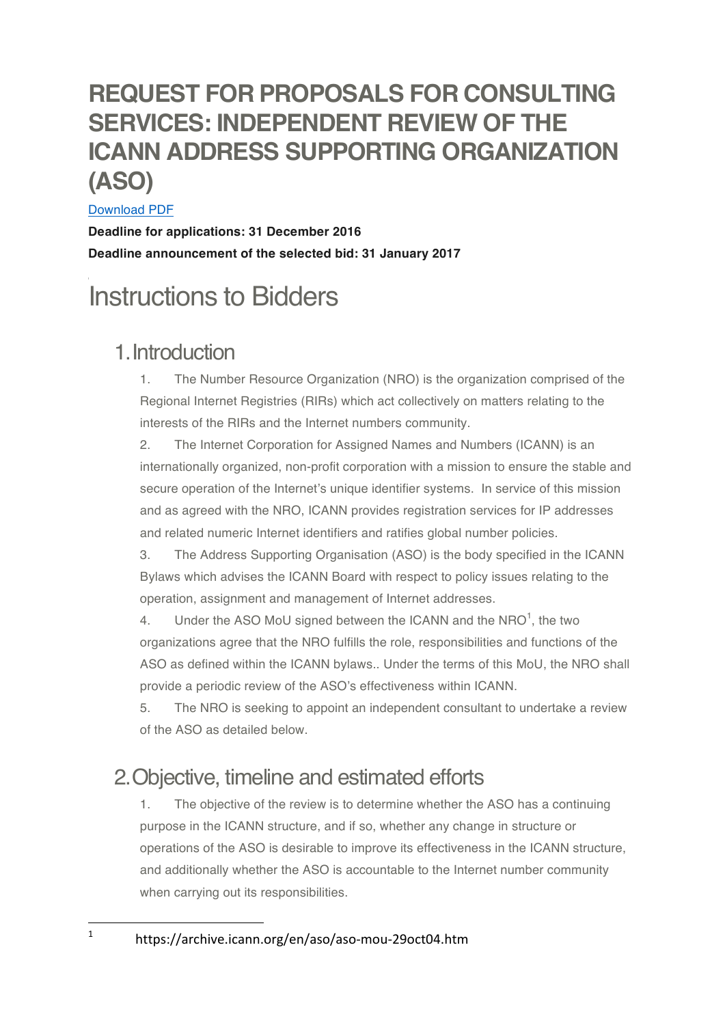# **REQUEST FOR PROPOSALS FOR CONSULTING SERVICES: INDEPENDENT REVIEW OF THE ICANN ADDRESS SUPPORTING ORGANIZATION (ASO)**

### Download PDF

**Deadline for applications: 31 December 2016 Deadline announcement of the selected bid: 31 January 2017**

# Instructions to Bidders

### 1.Introduction

1. The Number Resource Organization (NRO) is the organization comprised of the Regional Internet Registries (RIRs) which act collectively on matters relating to the interests of the RIRs and the Internet numbers community.

2. The Internet Corporation for Assigned Names and Numbers (ICANN) is an internationally organized, non-profit corporation with a mission to ensure the stable and secure operation of the Internet's unique identifier systems. In service of this mission and as agreed with the NRO, ICANN provides registration services for IP addresses and related numeric Internet identifiers and ratifies global number policies.

3. The Address Supporting Organisation (ASO) is the body specified in the ICANN Bylaws which advises the ICANN Board with respect to policy issues relating to the operation, assignment and management of Internet addresses.

4. Under the ASO MoU signed between the ICANN and the NRO $<sup>1</sup>$ , the two</sup> organizations agree that the NRO fulfills the role, responsibilities and functions of the ASO as defined within the ICANN bylaws.. Under the terms of this MoU, the NRO shall provide a periodic review of the ASO's effectiveness within ICANN.

5. The NRO is seeking to appoint an independent consultant to undertake a review of the ASO as detailed below.

## 2.Objective, timeline and estimated efforts

1. The objective of the review is to determine whether the ASO has a continuing purpose in the ICANN structure, and if so, whether any change in structure or operations of the ASO is desirable to improve its effectiveness in the ICANN structure, and additionally whether the ASO is accountable to the Internet number community when carrying out its responsibilities.

 

<sup>1</sup> https://archive.icann.org/en/aso/aso-mou-29oct04.htm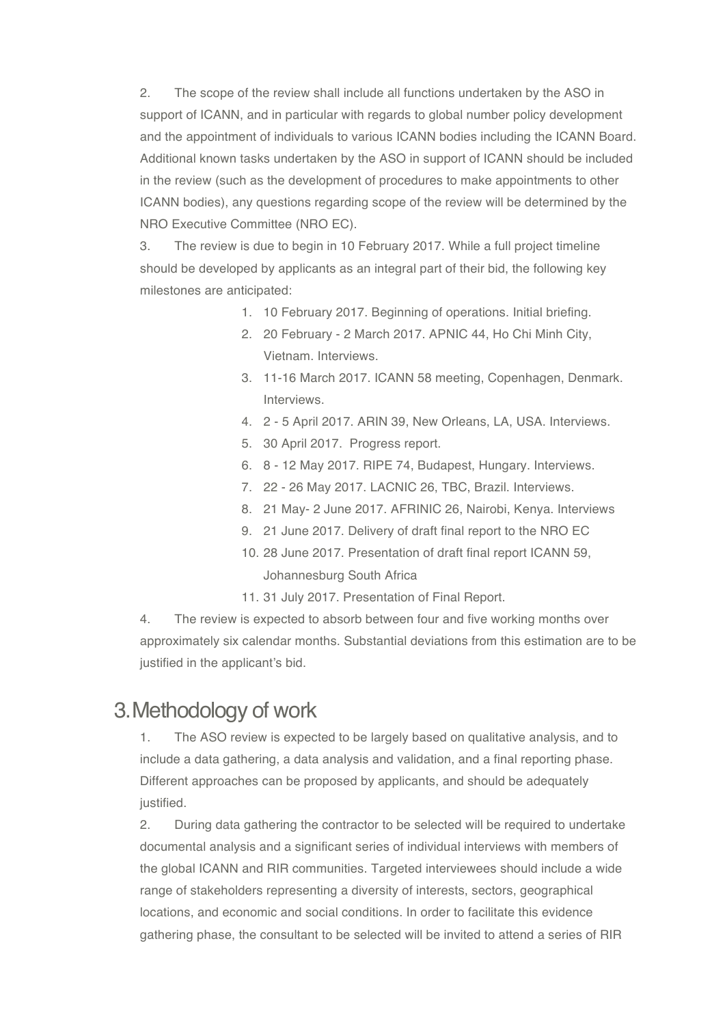2. The scope of the review shall include all functions undertaken by the ASO in support of ICANN, and in particular with regards to global number policy development and the appointment of individuals to various ICANN bodies including the ICANN Board. Additional known tasks undertaken by the ASO in support of ICANN should be included in the review (such as the development of procedures to make appointments to other ICANN bodies), any questions regarding scope of the review will be determined by the NRO Executive Committee (NRO EC).

3. The review is due to begin in 10 February 2017. While a full project timeline should be developed by applicants as an integral part of their bid, the following key milestones are anticipated:

- 1. 10 February 2017. Beginning of operations. Initial briefing.
- 2. 20 February 2 March 2017. APNIC 44, Ho Chi Minh City, Vietnam. Interviews.
- 3. 11-16 March 2017. ICANN 58 meeting, Copenhagen, Denmark. Interviews.
- 4. 2 5 April 2017. ARIN 39, New Orleans, LA, USA. Interviews.
- 5. 30 April 2017. Progress report.
- 6. 8 12 May 2017. RIPE 74, Budapest, Hungary. Interviews.
- 7. 22 26 May 2017. LACNIC 26, TBC, Brazil. Interviews.
- 8. 21 May- 2 June 2017. AFRINIC 26, Nairobi, Kenya. Interviews
- 9. 21 June 2017. Delivery of draft final report to the NRO EC
- 10. 28 June 2017. Presentation of draft final report ICANN 59, Johannesburg South Africa
- 11. 31 July 2017. Presentation of Final Report.

4. The review is expected to absorb between four and five working months over approximately six calendar months. Substantial deviations from this estimation are to be justified in the applicant's bid.

### 3.Methodology of work

1. The ASO review is expected to be largely based on qualitative analysis, and to include a data gathering, a data analysis and validation, and a final reporting phase. Different approaches can be proposed by applicants, and should be adequately justified.

2. During data gathering the contractor to be selected will be required to undertake documental analysis and a significant series of individual interviews with members of the global ICANN and RIR communities. Targeted interviewees should include a wide range of stakeholders representing a diversity of interests, sectors, geographical locations, and economic and social conditions. In order to facilitate this evidence gathering phase, the consultant to be selected will be invited to attend a series of RIR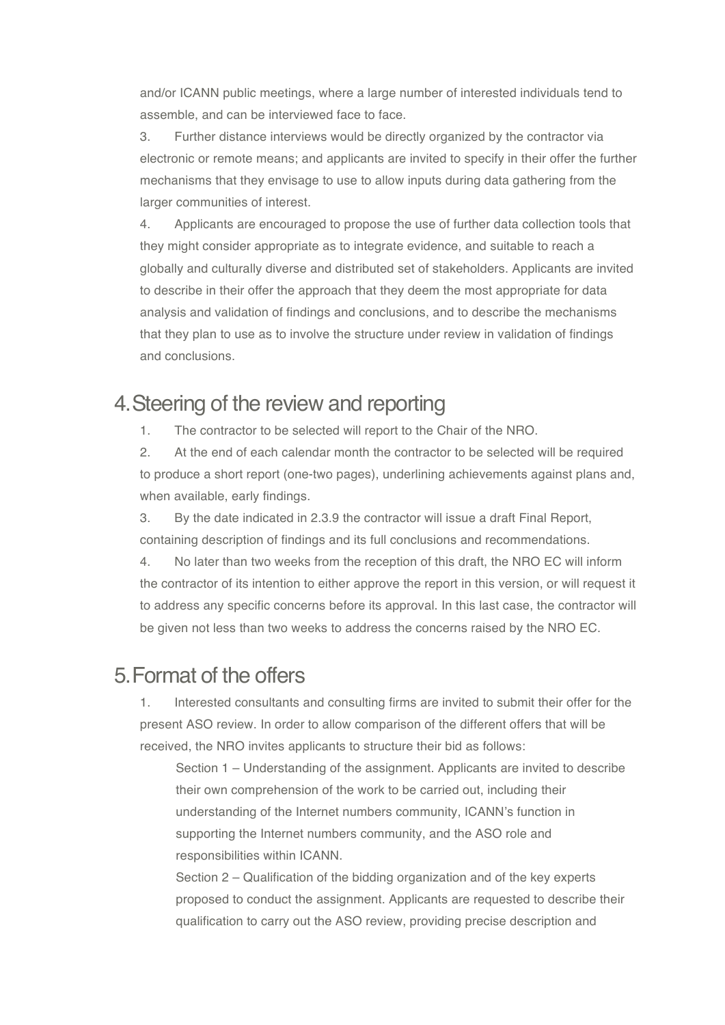and/or ICANN public meetings, where a large number of interested individuals tend to assemble, and can be interviewed face to face.

3. Further distance interviews would be directly organized by the contractor via electronic or remote means; and applicants are invited to specify in their offer the further mechanisms that they envisage to use to allow inputs during data gathering from the larger communities of interest.

4. Applicants are encouraged to propose the use of further data collection tools that they might consider appropriate as to integrate evidence, and suitable to reach a globally and culturally diverse and distributed set of stakeholders. Applicants are invited to describe in their offer the approach that they deem the most appropriate for data analysis and validation of findings and conclusions, and to describe the mechanisms that they plan to use as to involve the structure under review in validation of findings and conclusions.

### 4.Steering of the review and reporting

1. The contractor to be selected will report to the Chair of the NRO.

2. At the end of each calendar month the contractor to be selected will be required to produce a short report (one-two pages), underlining achievements against plans and, when available, early findings.

3. By the date indicated in 2.3.9 the contractor will issue a draft Final Report, containing description of findings and its full conclusions and recommendations.

4. No later than two weeks from the reception of this draft, the NRO EC will inform the contractor of its intention to either approve the report in this version, or will request it to address any specific concerns before its approval. In this last case, the contractor will be given not less than two weeks to address the concerns raised by the NRO EC.

### 5.Format of the offers

1. Interested consultants and consulting firms are invited to submit their offer for the present ASO review. In order to allow comparison of the different offers that will be received, the NRO invites applicants to structure their bid as follows:

Section 1 – Understanding of the assignment. Applicants are invited to describe their own comprehension of the work to be carried out, including their understanding of the Internet numbers community, ICANN's function in supporting the Internet numbers community, and the ASO role and responsibilities within ICANN.

Section 2 – Qualification of the bidding organization and of the key experts proposed to conduct the assignment. Applicants are requested to describe their qualification to carry out the ASO review, providing precise description and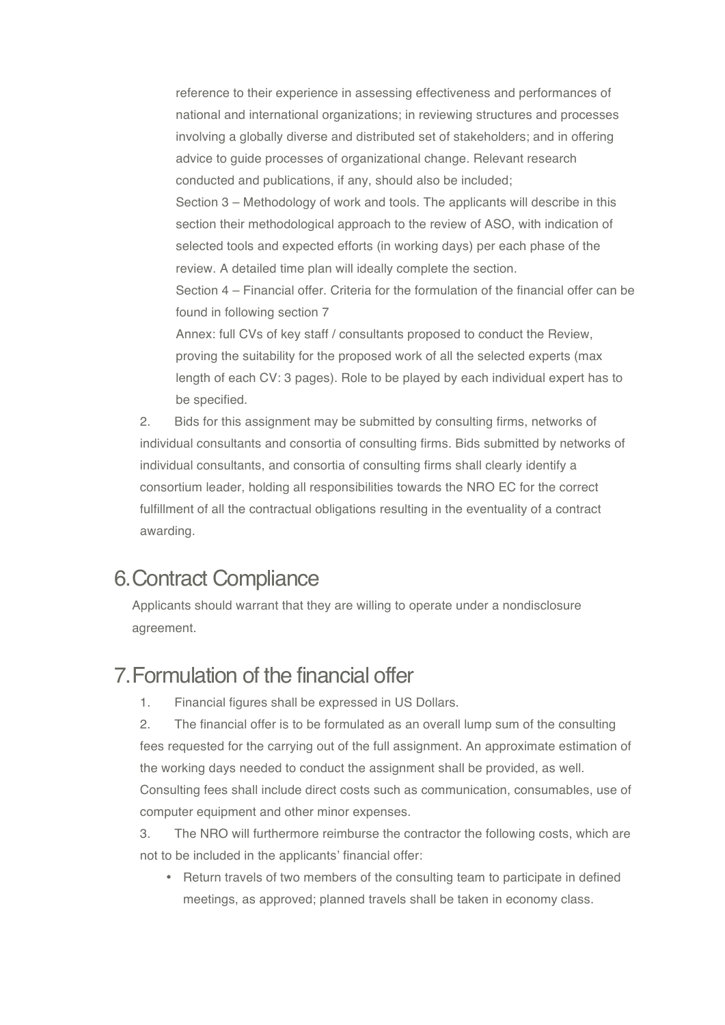reference to their experience in assessing effectiveness and performances of national and international organizations; in reviewing structures and processes involving a globally diverse and distributed set of stakeholders; and in offering advice to guide processes of organizational change. Relevant research conducted and publications, if any, should also be included; Section 3 – Methodology of work and tools. The applicants will describe in this section their methodological approach to the review of ASO, with indication of selected tools and expected efforts (in working days) per each phase of the review. A detailed time plan will ideally complete the section. Section 4 – Financial offer. Criteria for the formulation of the financial offer can be found in following section 7 Annex: full CVs of key staff / consultants proposed to conduct the Review,

proving the suitability for the proposed work of all the selected experts (max length of each CV: 3 pages). Role to be played by each individual expert has to be specified.

2. Bids for this assignment may be submitted by consulting firms, networks of individual consultants and consortia of consulting firms. Bids submitted by networks of individual consultants, and consortia of consulting firms shall clearly identify a consortium leader, holding all responsibilities towards the NRO EC for the correct fulfillment of all the contractual obligations resulting in the eventuality of a contract awarding.

### 6.Contract Compliance

Applicants should warrant that they are willing to operate under a nondisclosure agreement.

## 7.Formulation of the financial offer

1. Financial figures shall be expressed in US Dollars.

2. The financial offer is to be formulated as an overall lump sum of the consulting fees requested for the carrying out of the full assignment. An approximate estimation of the working days needed to conduct the assignment shall be provided, as well. Consulting fees shall include direct costs such as communication, consumables, use of computer equipment and other minor expenses.

3. The NRO will furthermore reimburse the contractor the following costs, which are not to be included in the applicants' financial offer:

• Return travels of two members of the consulting team to participate in defined meetings, as approved; planned travels shall be taken in economy class.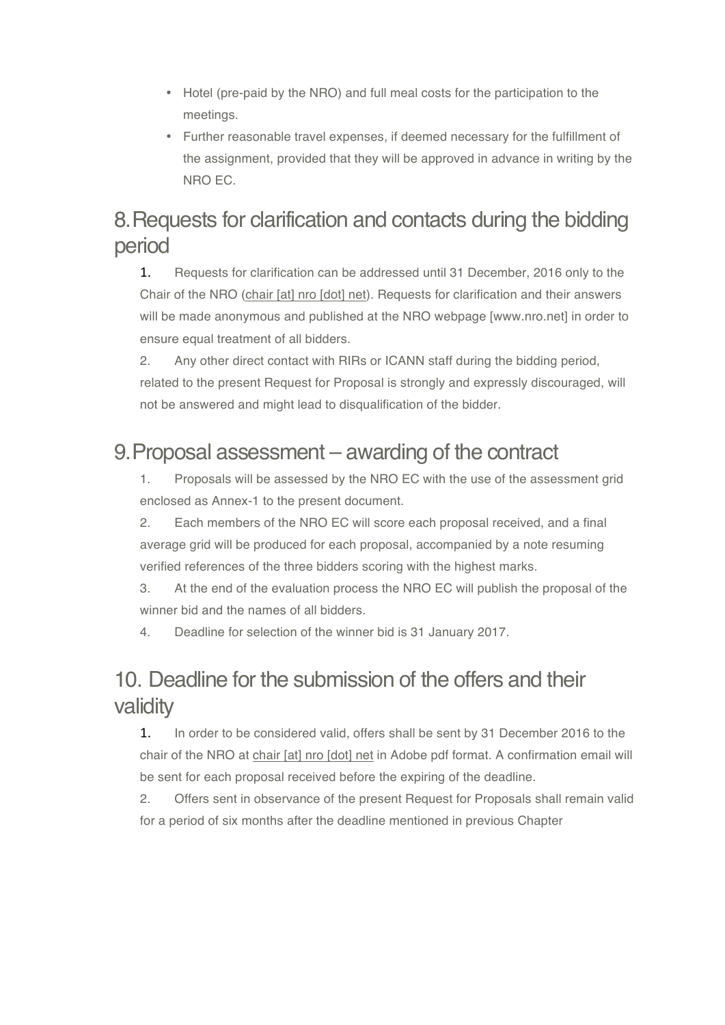- Hotel (pre-paid by the NRO) and full meal costs for the participation to the meetings.
- Further reasonable travel expenses, if deemed necessary for the fulfillment of the assignment, provided that they will be approved in advance in writing by the NRO EC.

# 8.Requests for clarification and contacts during the bidding period

1. Requests for clarification can be addressed until 31 December, 2016 only to the Chair of the NRO (chair [at] nro [dot] net). Requests for clarification and their answers will be made anonymous and published at the NRO webpage [www.nro.net] in order to ensure equal treatment of all bidders.

2. Any other direct contact with RIRs or ICANN staff during the bidding period, related to the present Request for Proposal is strongly and expressly discouraged, will not be answered and might lead to disqualification of the bidder.

# 9.Proposal assessment – awarding of the contract

1. Proposals will be assessed by the NRO EC with the use of the assessment grid enclosed as Annex-1 to the present document.

2. Each members of the NRO EC will score each proposal received, and a final average grid will be produced for each proposal, accompanied by a note resuming verified references of the three bidders scoring with the highest marks.

3. At the end of the evaluation process the NRO EC will publish the proposal of the winner bid and the names of all bidders.

4. Deadline for selection of the winner bid is 31 January 2017.

# 10. Deadline for the submission of the offers and their validity

1. In order to be considered valid, offers shall be sent by 31 December 2016 to the chair of the NRO at chair [at] nro [dot] net in Adobe pdf format. A confirmation email will be sent for each proposal received before the expiring of the deadline.

2. Offers sent in observance of the present Request for Proposals shall remain valid for a period of six months after the deadline mentioned in previous Chapter